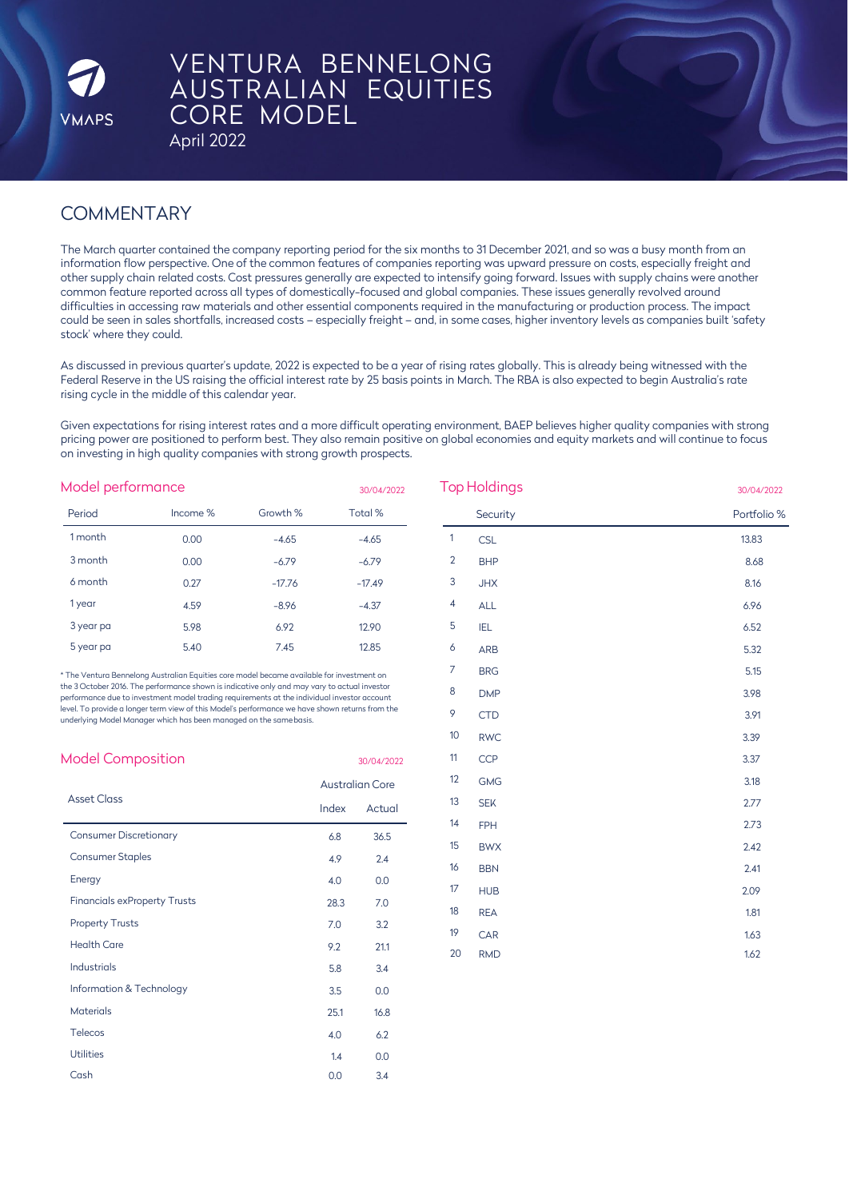

# VENTURA BENNELONG AUSTRALIAN EQUITIES CORE MODEL

April 2022

# **COMMENTARY**

The March quarter contained the company reporting period for the six months to 31 December 2021, and so was a busy month from an information flow perspective. One of the common features of companies reporting was upward pressure on costs, especially freight and other supply chain related costs. Cost pressures generally are expected to intensify going forward. Issues with supply chains were another common feature reported across all types of domestically-focused and global companies. These issues generally revolved around difficulties in accessing raw materials and other essential components required in the manufacturing or production process. The impact could be seen in sales shortfalls, increased costs – especially freight – and, in some cases, higher inventory levels as companies built 'safety stock' where they could.

As discussed in previous quarter's update, 2022 is expected to be a year of rising rates globally. This is already being witnessed with the Federal Reserve in the US raising the official interest rate by 25 basis points in March. The RBA is also expected to begin Australia's rate rising cycle in the middle of this calendar year.

Given expectations for rising interest rates and a more difficult operating environment, BAEP believes higher quality companies with strong pricing power are positioned to perform best. They also remain positive on global economies and equity markets and will continue to focus on investing in high quality companies with strong growth prospects.

| Model performance |          |          | 30/04/2022 | <b>Top Holdings</b> |            | 30/04/2022  |  |
|-------------------|----------|----------|------------|---------------------|------------|-------------|--|
| Period            | Income % | Growth % | Total %    |                     | Security   | Portfolio 9 |  |
| 1 month           | 0.00     | $-4.65$  | $-4.65$    |                     | <b>CSL</b> | 13.83       |  |
| 3 month           | 0.00     | $-6.79$  | $-6.79$    | 2                   | <b>BHP</b> | 8.68        |  |
| 6 month           | 0.27     | $-17.76$ | $-17.49$   | 3                   | <b>JHX</b> | 8.16        |  |
| 1 year            | 4.59     | $-8.96$  | $-4.37$    | 4                   | <b>ALL</b> | 6.96        |  |
| 3 year pa         | 5.98     | 6.92     | 12.90      | 5                   | IEL        | 6.52        |  |
| 5 year pa         | 5.40     | 7.45     | 12.85      | $\circ$             | <b>ARB</b> | 5.32        |  |

\* The Ventura Bennelong Australian Equities core model became available for investment on the 3 October 2016. The performance shown is indicative only and may vary to actual investor performance due to investment model trading requirements at the individual investor account level. To provide a longer term view of this Model's performance we have shown returns from the underlying Model Manager which has been managed on the samebasis.

| <b>Model Composition</b>            | 30/04/2022             |        |  |
|-------------------------------------|------------------------|--------|--|
|                                     | <b>Australian Core</b> |        |  |
| <b>Asset Class</b>                  | Index                  | Actual |  |
| <b>Consumer Discretionary</b>       | 6.8                    | 36.5   |  |
| <b>Consumer Staples</b>             | 4.9                    | 2.4    |  |
| Energy                              | 4.0                    | 0.0    |  |
| <b>Financials exProperty Trusts</b> | 28.3                   | 7.0    |  |
| <b>Property Trusts</b>              | 7.0                    | 3.2    |  |
| <b>Health Care</b>                  | 9.2                    | 21.1   |  |
| Industrials                         | 5.8                    | 3.4    |  |
| Information & Technology            | 3.5                    | 0.0    |  |
| <b>Materials</b>                    | 25.1                   | 16.8   |  |
| Telecos                             | 4.0                    | 6.2    |  |
| Utilities                           | 1.4                    | 0.0    |  |
| Cash                                | 0.0                    | 3.4    |  |
|                                     |                        |        |  |

| Top Holdings   |            | 30/04/2022  |
|----------------|------------|-------------|
|                | Security   | Portfolio % |
| $\mathbf{1}$   | <b>CSL</b> | 13.83       |
| $\overline{c}$ | <b>BHP</b> | 8.68        |
| 3              | <b>JHX</b> | 8.16        |
| 4              | <b>ALL</b> | 6.96        |
| 5              | IEL        | 6.52        |
| 6              | ARB        | 5.32        |
| 7              | <b>BRG</b> | 5.15        |
| 8              | <b>DMP</b> | 3.98        |
| 9              | <b>CTD</b> | 3.91        |
| 10             | <b>RWC</b> | 3.39        |
| 11             | <b>CCP</b> | 3.37        |
| 12             | <b>GMG</b> | 3.18        |
| 13             | <b>SEK</b> | 2.77        |
| 14             | <b>FPH</b> | 2.73        |
| 15             | <b>BWX</b> | 2.42        |
| 16             | <b>BBN</b> | 2.41        |
| 17             | <b>HUB</b> | 2.09        |
| 18             | <b>REA</b> | 1.81        |
| 19             | CAR        | 1.63        |
| 20             | <b>RMD</b> | 1.62        |